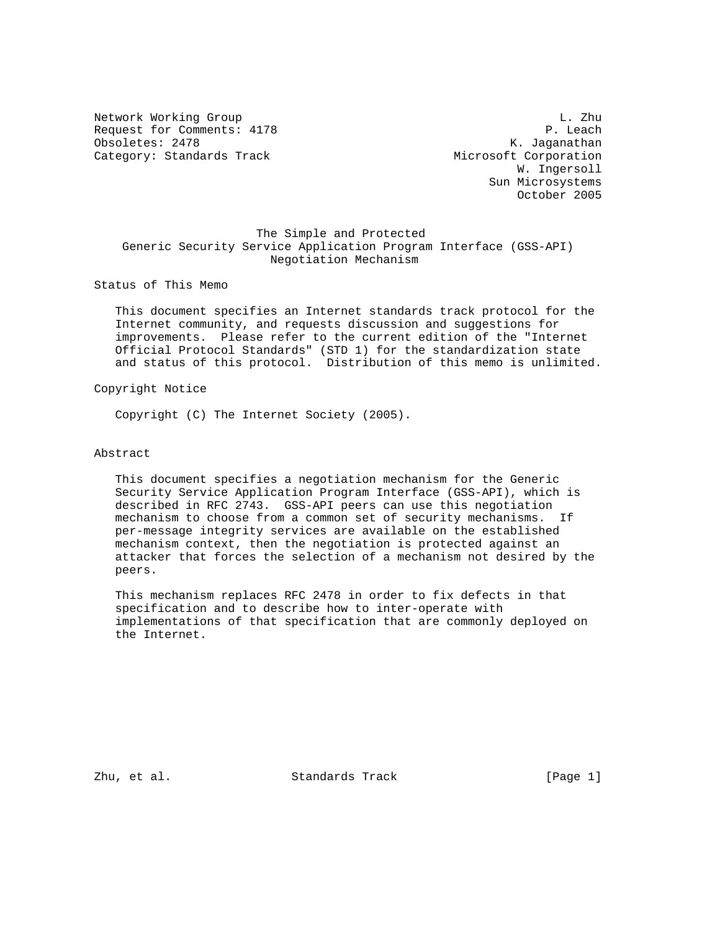Network Working Group and the set of the set of the set of the set of the set of the set of the set of the set of the set of the set of the set of the set of the set of the set of the set of the set of the set of the set o Request for Comments: 4178 P. Leach Obsoletes: 2478 K. Jaganathan Category: Standards Track Microsoft Corporation

 W. Ingersoll Sun Microsystems October 2005

## The Simple and Protected Generic Security Service Application Program Interface (GSS-API) Negotiation Mechanism

Status of This Memo

 This document specifies an Internet standards track protocol for the Internet community, and requests discussion and suggestions for improvements. Please refer to the current edition of the "Internet Official Protocol Standards" (STD 1) for the standardization state and status of this protocol. Distribution of this memo is unlimited.

Copyright Notice

Copyright (C) The Internet Society (2005).

### Abstract

 This document specifies a negotiation mechanism for the Generic Security Service Application Program Interface (GSS-API), which is described in RFC 2743. GSS-API peers can use this negotiation mechanism to choose from a common set of security mechanisms. If per-message integrity services are available on the established mechanism context, then the negotiation is protected against an attacker that forces the selection of a mechanism not desired by the peers.

 This mechanism replaces RFC 2478 in order to fix defects in that specification and to describe how to inter-operate with implementations of that specification that are commonly deployed on the Internet.

Zhu, et al. Standards Track [Page 1]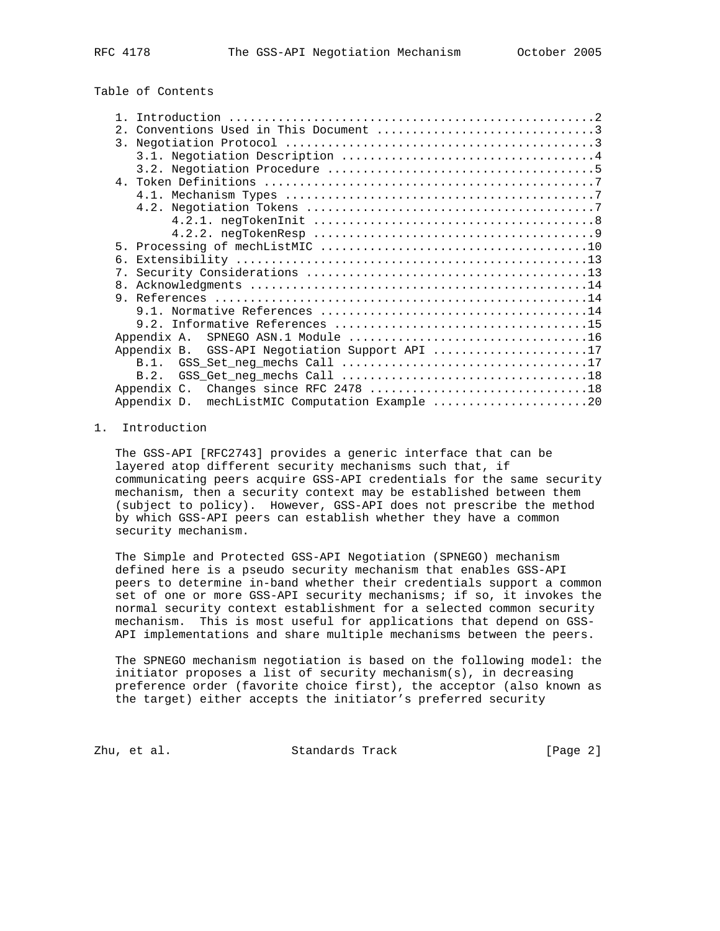# Table of Contents

| 2.                                             |  |  |
|------------------------------------------------|--|--|
| 3.                                             |  |  |
|                                                |  |  |
|                                                |  |  |
|                                                |  |  |
|                                                |  |  |
|                                                |  |  |
|                                                |  |  |
|                                                |  |  |
|                                                |  |  |
| 6.                                             |  |  |
|                                                |  |  |
| 8.                                             |  |  |
|                                                |  |  |
|                                                |  |  |
|                                                |  |  |
| SPNEGO ASN.1 Module 16<br>Appendix A.          |  |  |
| Appendix B. GSS-API Negotiation Support API 17 |  |  |
|                                                |  |  |
| B.2.                                           |  |  |
|                                                |  |  |
| Appendix D. mechListMIC Computation Example 20 |  |  |

#### 1. Introduction

 The GSS-API [RFC2743] provides a generic interface that can be layered atop different security mechanisms such that, if communicating peers acquire GSS-API credentials for the same security mechanism, then a security context may be established between them (subject to policy). However, GSS-API does not prescribe the method by which GSS-API peers can establish whether they have a common security mechanism.

 The Simple and Protected GSS-API Negotiation (SPNEGO) mechanism defined here is a pseudo security mechanism that enables GSS-API peers to determine in-band whether their credentials support a common set of one or more GSS-API security mechanisms; if so, it invokes the normal security context establishment for a selected common security mechanism. This is most useful for applications that depend on GSS- API implementations and share multiple mechanisms between the peers.

 The SPNEGO mechanism negotiation is based on the following model: the initiator proposes a list of security mechanism(s), in decreasing preference order (favorite choice first), the acceptor (also known as the target) either accepts the initiator's preferred security

Zhu, et al. Standards Track [Page 2]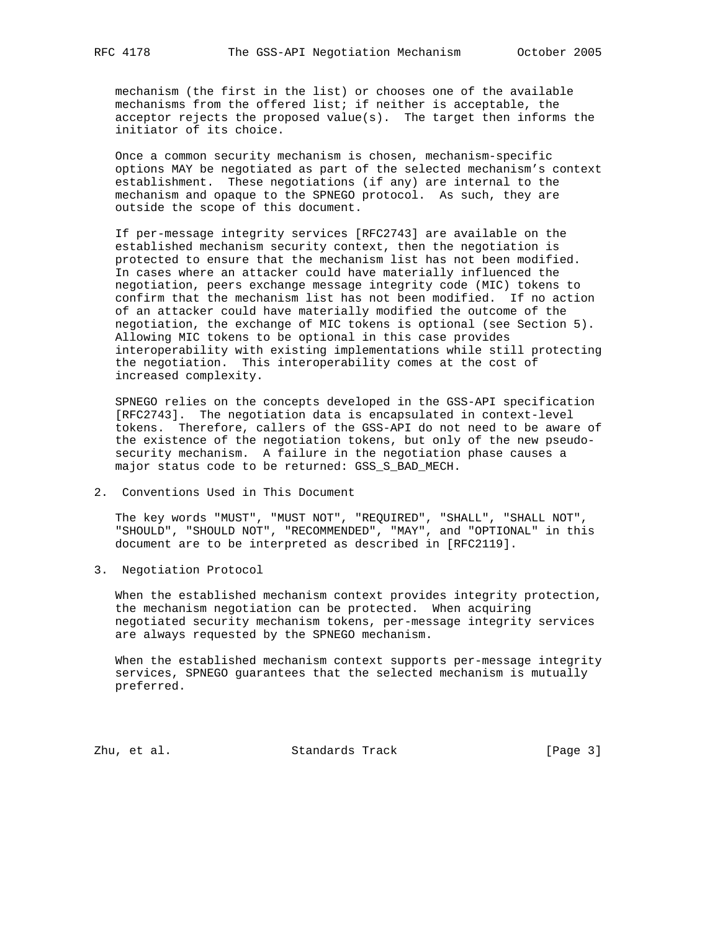mechanism (the first in the list) or chooses one of the available mechanisms from the offered list; if neither is acceptable, the acceptor rejects the proposed value(s). The target then informs the initiator of its choice.

 Once a common security mechanism is chosen, mechanism-specific options MAY be negotiated as part of the selected mechanism's context establishment. These negotiations (if any) are internal to the mechanism and opaque to the SPNEGO protocol. As such, they are outside the scope of this document.

 If per-message integrity services [RFC2743] are available on the established mechanism security context, then the negotiation is protected to ensure that the mechanism list has not been modified. In cases where an attacker could have materially influenced the negotiation, peers exchange message integrity code (MIC) tokens to confirm that the mechanism list has not been modified. If no action of an attacker could have materially modified the outcome of the negotiation, the exchange of MIC tokens is optional (see Section 5). Allowing MIC tokens to be optional in this case provides interoperability with existing implementations while still protecting the negotiation. This interoperability comes at the cost of increased complexity.

 SPNEGO relies on the concepts developed in the GSS-API specification [RFC2743]. The negotiation data is encapsulated in context-level tokens. Therefore, callers of the GSS-API do not need to be aware of the existence of the negotiation tokens, but only of the new pseudo security mechanism. A failure in the negotiation phase causes a major status code to be returned: GSS\_S\_BAD\_MECH.

2. Conventions Used in This Document

 The key words "MUST", "MUST NOT", "REQUIRED", "SHALL", "SHALL NOT", "SHOULD", "SHOULD NOT", "RECOMMENDED", "MAY", and "OPTIONAL" in this document are to be interpreted as described in [RFC2119].

3. Negotiation Protocol

 When the established mechanism context provides integrity protection, the mechanism negotiation can be protected. When acquiring negotiated security mechanism tokens, per-message integrity services are always requested by the SPNEGO mechanism.

 When the established mechanism context supports per-message integrity services, SPNEGO guarantees that the selected mechanism is mutually preferred.

Zhu, et al. Standards Track [Page 3]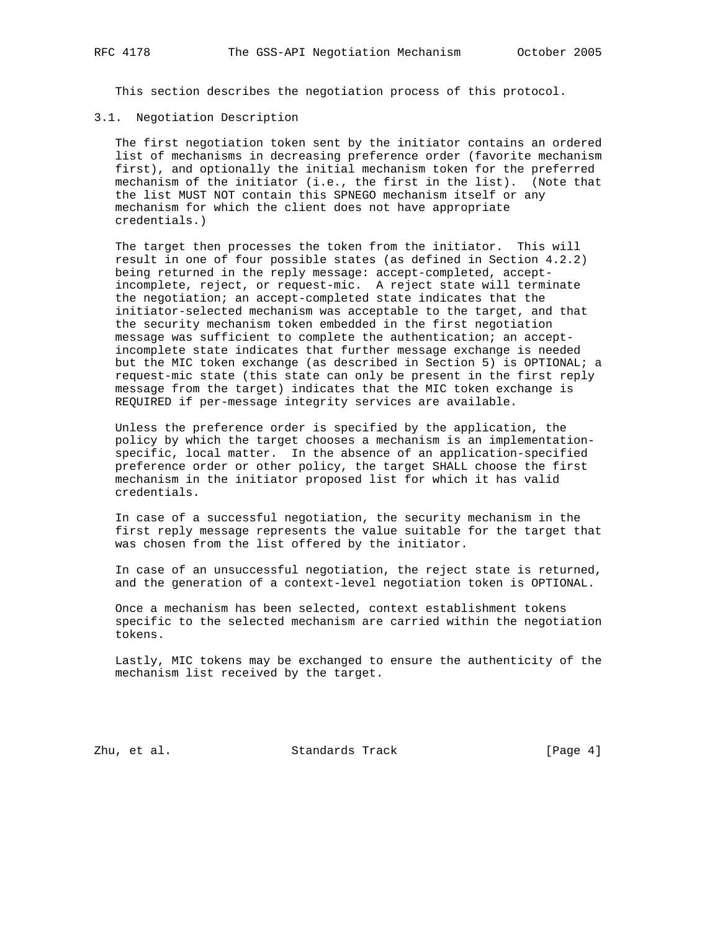This section describes the negotiation process of this protocol.

#### 3.1. Negotiation Description

 The first negotiation token sent by the initiator contains an ordered list of mechanisms in decreasing preference order (favorite mechanism first), and optionally the initial mechanism token for the preferred mechanism of the initiator (i.e., the first in the list). (Note that the list MUST NOT contain this SPNEGO mechanism itself or any mechanism for which the client does not have appropriate credentials.)

 The target then processes the token from the initiator. This will result in one of four possible states (as defined in Section 4.2.2) being returned in the reply message: accept-completed, accept incomplete, reject, or request-mic. A reject state will terminate the negotiation; an accept-completed state indicates that the initiator-selected mechanism was acceptable to the target, and that the security mechanism token embedded in the first negotiation message was sufficient to complete the authentication; an accept incomplete state indicates that further message exchange is needed but the MIC token exchange (as described in Section 5) is OPTIONAL; a request-mic state (this state can only be present in the first reply message from the target) indicates that the MIC token exchange is REQUIRED if per-message integrity services are available.

 Unless the preference order is specified by the application, the policy by which the target chooses a mechanism is an implementation specific, local matter. In the absence of an application-specified preference order or other policy, the target SHALL choose the first mechanism in the initiator proposed list for which it has valid credentials.

 In case of a successful negotiation, the security mechanism in the first reply message represents the value suitable for the target that was chosen from the list offered by the initiator.

 In case of an unsuccessful negotiation, the reject state is returned, and the generation of a context-level negotiation token is OPTIONAL.

 Once a mechanism has been selected, context establishment tokens specific to the selected mechanism are carried within the negotiation tokens.

 Lastly, MIC tokens may be exchanged to ensure the authenticity of the mechanism list received by the target.

Zhu, et al. Standards Track [Page 4]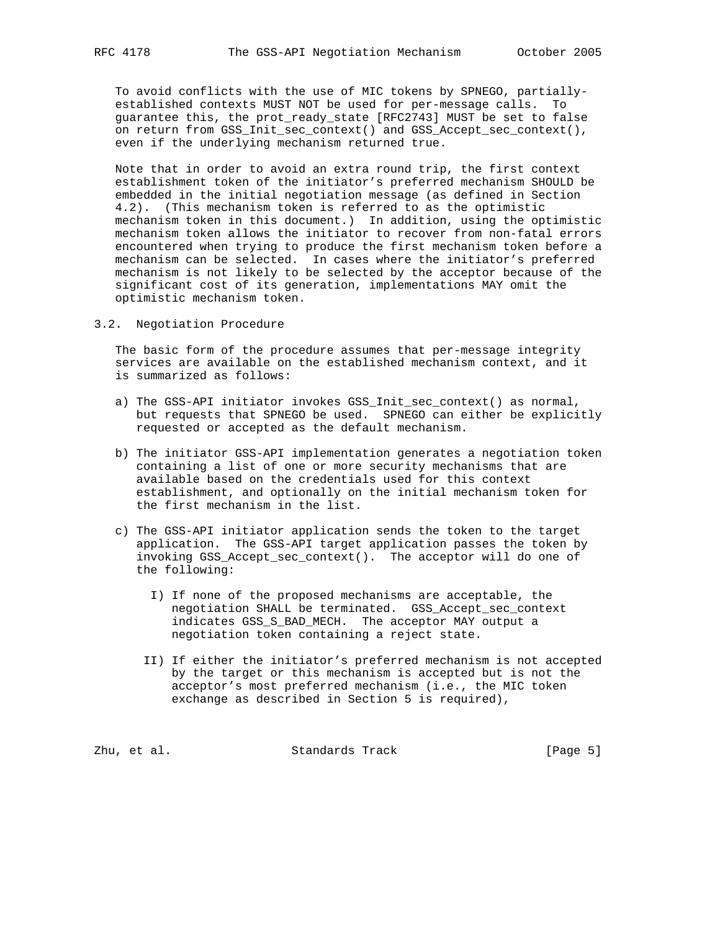To avoid conflicts with the use of MIC tokens by SPNEGO, partially established contexts MUST NOT be used for per-message calls. To guarantee this, the prot\_ready\_state [RFC2743] MUST be set to false on return from GSS\_Init\_sec\_context() and GSS\_Accept\_sec\_context(), even if the underlying mechanism returned true.

 Note that in order to avoid an extra round trip, the first context establishment token of the initiator's preferred mechanism SHOULD be embedded in the initial negotiation message (as defined in Section 4.2). (This mechanism token is referred to as the optimistic mechanism token in this document.) In addition, using the optimistic mechanism token allows the initiator to recover from non-fatal errors encountered when trying to produce the first mechanism token before a mechanism can be selected. In cases where the initiator's preferred mechanism is not likely to be selected by the acceptor because of the significant cost of its generation, implementations MAY omit the optimistic mechanism token.

3.2. Negotiation Procedure

 The basic form of the procedure assumes that per-message integrity services are available on the established mechanism context, and it is summarized as follows:

- a) The GSS-API initiator invokes GSS\_Init\_sec\_context() as normal, but requests that SPNEGO be used. SPNEGO can either be explicitly requested or accepted as the default mechanism.
- b) The initiator GSS-API implementation generates a negotiation token containing a list of one or more security mechanisms that are available based on the credentials used for this context establishment, and optionally on the initial mechanism token for the first mechanism in the list.
- c) The GSS-API initiator application sends the token to the target application. The GSS-API target application passes the token by invoking GSS\_Accept\_sec\_context(). The acceptor will do one of the following:
	- I) If none of the proposed mechanisms are acceptable, the negotiation SHALL be terminated. GSS\_Accept\_sec\_context indicates GSS\_S\_BAD\_MECH. The acceptor MAY output a negotiation token containing a reject state.
	- II) If either the initiator's preferred mechanism is not accepted by the target or this mechanism is accepted but is not the acceptor's most preferred mechanism (i.e., the MIC token exchange as described in Section 5 is required),

Zhu, et al. Standards Track [Page 5]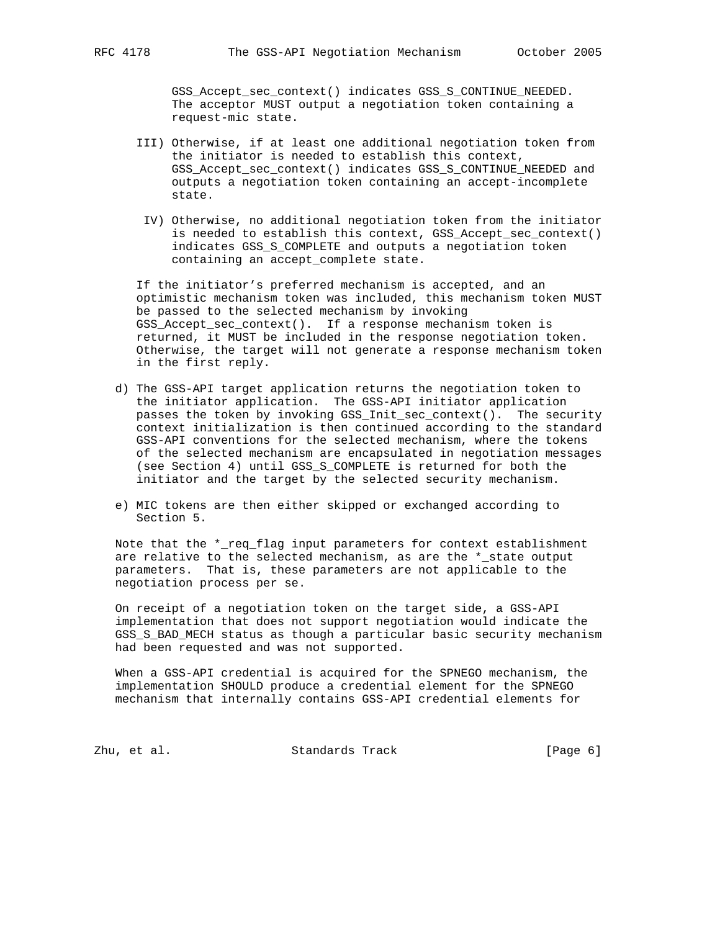GSS\_Accept\_sec\_context() indicates GSS\_S\_CONTINUE\_NEEDED. The acceptor MUST output a negotiation token containing a request-mic state.

- III) Otherwise, if at least one additional negotiation token from the initiator is needed to establish this context, GSS\_Accept\_sec\_context() indicates GSS\_S\_CONTINUE\_NEEDED and outputs a negotiation token containing an accept-incomplete state.
- IV) Otherwise, no additional negotiation token from the initiator is needed to establish this context, GSS\_Accept\_sec\_context() indicates GSS\_S\_COMPLETE and outputs a negotiation token containing an accept\_complete state.

 If the initiator's preferred mechanism is accepted, and an optimistic mechanism token was included, this mechanism token MUST be passed to the selected mechanism by invoking GSS\_Accept\_sec\_context(). If a response mechanism token is returned, it MUST be included in the response negotiation token. Otherwise, the target will not generate a response mechanism token in the first reply.

- d) The GSS-API target application returns the negotiation token to the initiator application. The GSS-API initiator application passes the token by invoking GSS\_Init\_sec\_context(). The security context initialization is then continued according to the standard GSS-API conventions for the selected mechanism, where the tokens of the selected mechanism are encapsulated in negotiation messages (see Section 4) until GSS\_S\_COMPLETE is returned for both the initiator and the target by the selected security mechanism.
- e) MIC tokens are then either skipped or exchanged according to Section 5.

 Note that the \*\_req\_flag input parameters for context establishment are relative to the selected mechanism, as are the \*\_state output parameters. That is, these parameters are not applicable to the negotiation process per se.

 On receipt of a negotiation token on the target side, a GSS-API implementation that does not support negotiation would indicate the GSS\_S\_BAD\_MECH status as though a particular basic security mechanism had been requested and was not supported.

 When a GSS-API credential is acquired for the SPNEGO mechanism, the implementation SHOULD produce a credential element for the SPNEGO mechanism that internally contains GSS-API credential elements for

Zhu, et al. Standards Track [Page 6]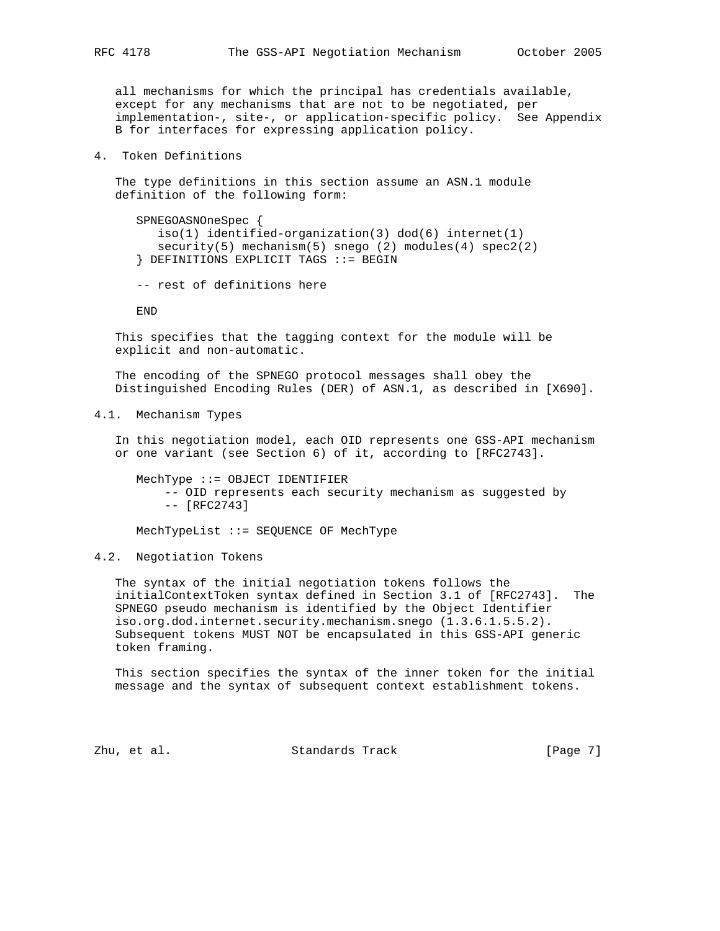all mechanisms for which the principal has credentials available, except for any mechanisms that are not to be negotiated, per implementation-, site-, or application-specific policy. See Appendix B for interfaces for expressing application policy.

4. Token Definitions

 The type definitions in this section assume an ASN.1 module definition of the following form:

 SPNEGOASNOneSpec { iso(1) identified-organization(3) dod(6) internet(1) security(5) mechanism(5) snego (2) modules(4) spec2(2) } DEFINITIONS EXPLICIT TAGS ::= BEGIN

-- rest of definitions here

END

 This specifies that the tagging context for the module will be explicit and non-automatic.

 The encoding of the SPNEGO protocol messages shall obey the Distinguished Encoding Rules (DER) of ASN.1, as described in [X690].

4.1. Mechanism Types

 In this negotiation model, each OID represents one GSS-API mechanism or one variant (see Section 6) of it, according to [RFC2743].

 MechType ::= OBJECT IDENTIFIER -- OID represents each security mechanism as suggested by -- [RFC2743]

MechTypeList ::= SEQUENCE OF MechType

4.2. Negotiation Tokens

 The syntax of the initial negotiation tokens follows the initialContextToken syntax defined in Section 3.1 of [RFC2743]. The SPNEGO pseudo mechanism is identified by the Object Identifier iso.org.dod.internet.security.mechanism.snego (1.3.6.1.5.5.2). Subsequent tokens MUST NOT be encapsulated in this GSS-API generic token framing.

 This section specifies the syntax of the inner token for the initial message and the syntax of subsequent context establishment tokens.

Zhu, et al. Standards Track [Page 7]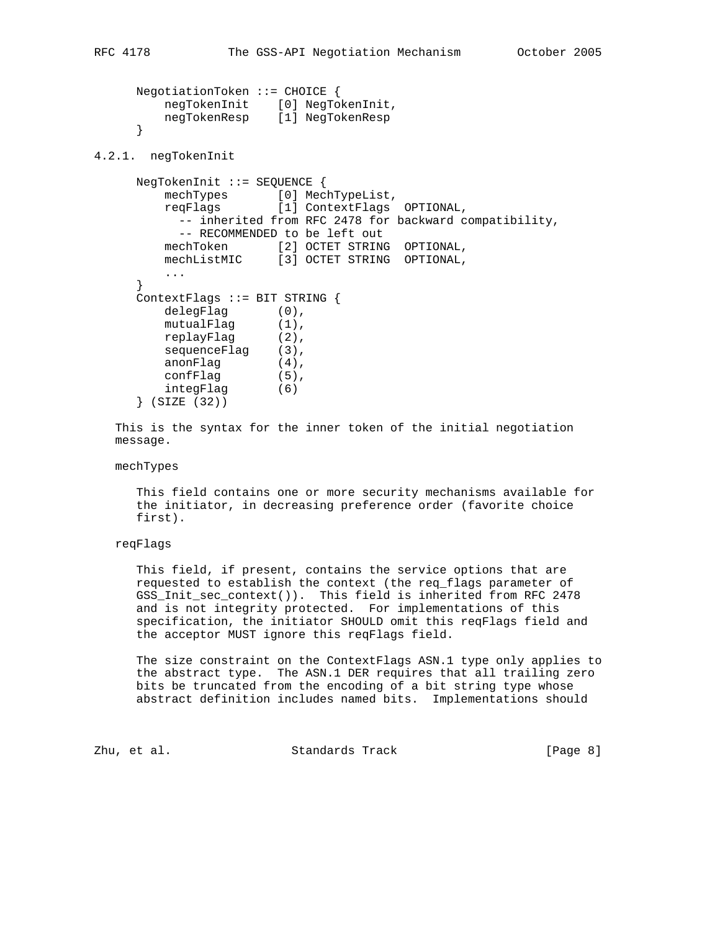```
 NegotiationToken ::= CHOICE {
 negTokenInit [0] NegTokenInit,
 negTokenResp [1] NegTokenResp
     }
```
4.2.1. negTokenInit

```
 NegTokenInit ::= SEQUENCE {
         mechTypes [0] MechTypeList,
          reqFlags [1] ContextFlags OPTIONAL,
            -- inherited from RFC 2478 for backward compatibility,
            -- RECOMMENDED to be left out
 mechToken [2] OCTET STRING OPTIONAL,
 mechListMIC [3] OCTET STRING OPTIONAL,
          ...
      }
      ContextFlags ::= BIT STRING {
          delegFlag (0),
mutualFlag (1),
 replayFlag (2),
sequenceFlag (3),
         \begin{array}{c} \texttt{a} & \texttt{a} \\ \texttt{a} & \texttt{a} \\ \texttt{a} & \texttt{a} \end{array} (4),
          confFlag (5),
          integFlag (6)
      } (SIZE (32))
```
 This is the syntax for the inner token of the initial negotiation message.

mechTypes

 This field contains one or more security mechanisms available for the initiator, in decreasing preference order (favorite choice first).

## reqFlags

 This field, if present, contains the service options that are requested to establish the context (the req\_flags parameter of GSS\_Init\_sec\_context()). This field is inherited from RFC 2478 and is not integrity protected. For implementations of this specification, the initiator SHOULD omit this reqFlags field and the acceptor MUST ignore this reqFlags field.

 The size constraint on the ContextFlags ASN.1 type only applies to the abstract type. The ASN.1 DER requires that all trailing zero bits be truncated from the encoding of a bit string type whose abstract definition includes named bits. Implementations should

Zhu, et al. Standards Track [Page 8]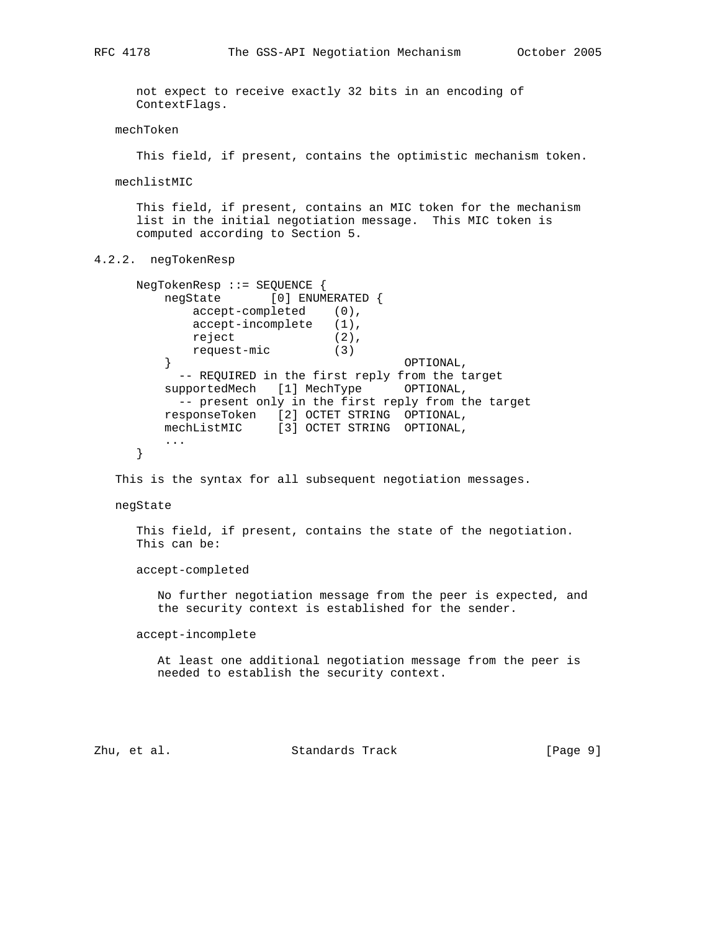not expect to receive exactly 32 bits in an encoding of ContextFlags.

mechToken

This field, if present, contains the optimistic mechanism token.

mechlistMIC

 This field, if present, contains an MIC token for the mechanism list in the initial negotiation message. This MIC token is computed according to Section 5.

#### 4.2.2. negTokenResp

```
 NegTokenResp ::= SEQUENCE {
        negState [0] ENUMERATED {
           accept-completed (0),
           accept-incomplete (1),
reject (2),
 request-mic (3)
\} \qquad \qquad \text{OPTIONAL} ,
         -- REQUIRED in the first reply from the target
       supportedMech [1] MechType OPTIONAL,
        -- present only in the first reply from the target
 responseToken [2] OCTET STRING OPTIONAL,
 mechListMIC [3] OCTET STRING OPTIONAL,
        ...
     }
```
This is the syntax for all subsequent negotiation messages.

#### negState

 This field, if present, contains the state of the negotiation. This can be:

accept-completed

 No further negotiation message from the peer is expected, and the security context is established for the sender.

accept-incomplete

 At least one additional negotiation message from the peer is needed to establish the security context.

Zhu, et al. Standards Track [Page 9]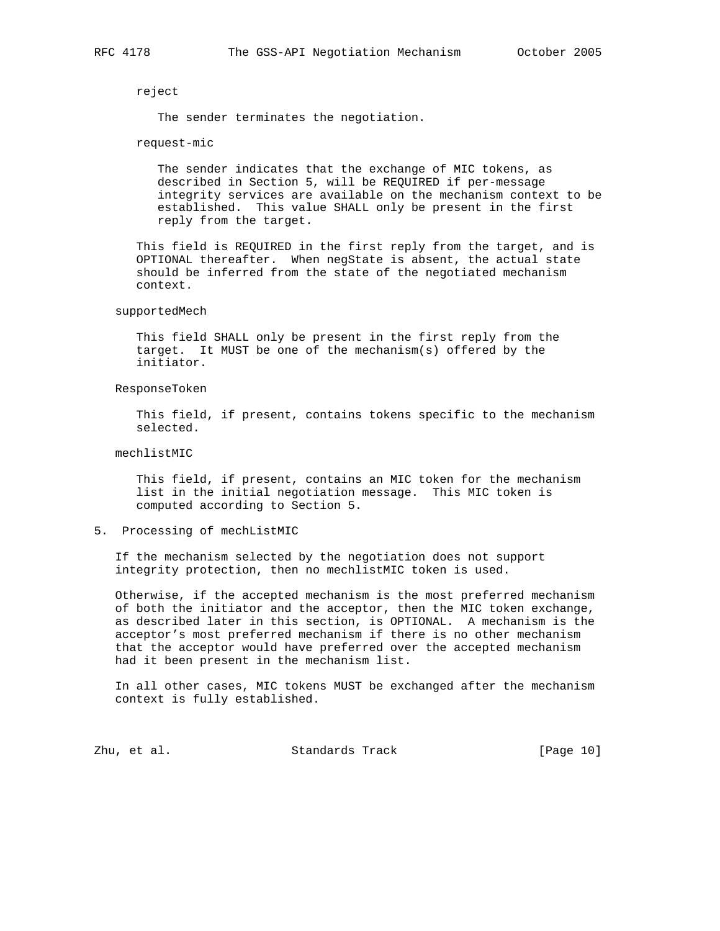reject

The sender terminates the negotiation.

request-mic

 The sender indicates that the exchange of MIC tokens, as described in Section 5, will be REQUIRED if per-message integrity services are available on the mechanism context to be established. This value SHALL only be present in the first reply from the target.

 This field is REQUIRED in the first reply from the target, and is OPTIONAL thereafter. When negState is absent, the actual state should be inferred from the state of the negotiated mechanism context.

supportedMech

 This field SHALL only be present in the first reply from the target. It MUST be one of the mechanism(s) offered by the initiator.

ResponseToken

 This field, if present, contains tokens specific to the mechanism selected.

mechlistMIC

 This field, if present, contains an MIC token for the mechanism list in the initial negotiation message. This MIC token is computed according to Section 5.

5. Processing of mechListMIC

 If the mechanism selected by the negotiation does not support integrity protection, then no mechlistMIC token is used.

 Otherwise, if the accepted mechanism is the most preferred mechanism of both the initiator and the acceptor, then the MIC token exchange, as described later in this section, is OPTIONAL. A mechanism is the acceptor's most preferred mechanism if there is no other mechanism that the acceptor would have preferred over the accepted mechanism had it been present in the mechanism list.

 In all other cases, MIC tokens MUST be exchanged after the mechanism context is fully established.

Zhu, et al. Standards Track [Page 10]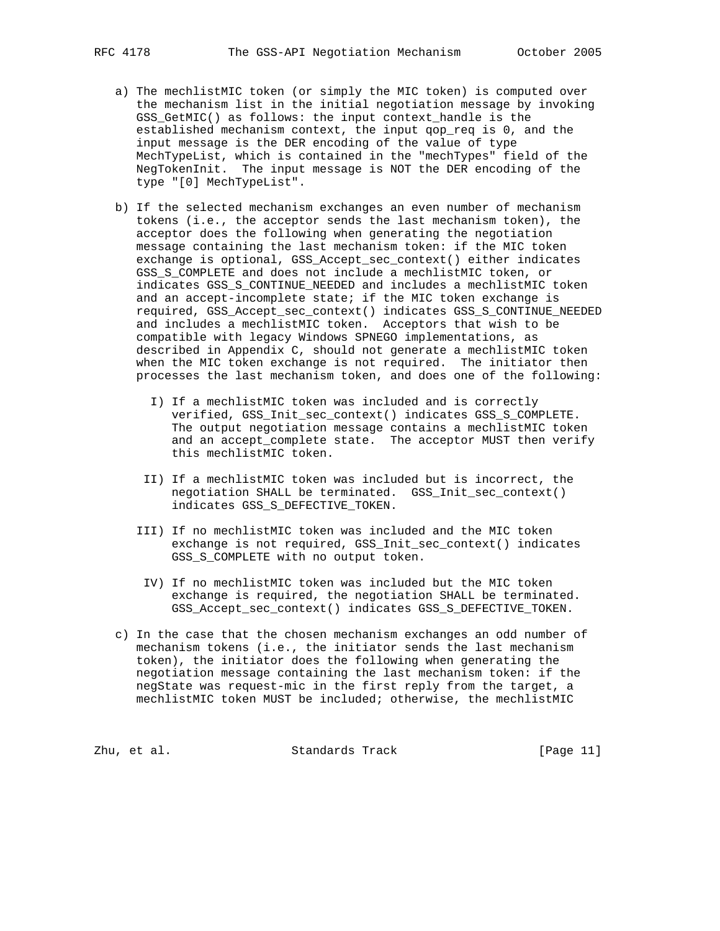- a) The mechlistMIC token (or simply the MIC token) is computed over the mechanism list in the initial negotiation message by invoking GSS\_GetMIC() as follows: the input context\_handle is the established mechanism context, the input qop\_req is 0, and the input message is the DER encoding of the value of type MechTypeList, which is contained in the "mechTypes" field of the NegTokenInit. The input message is NOT the DER encoding of the type "[0] MechTypeList".
- b) If the selected mechanism exchanges an even number of mechanism tokens (i.e., the acceptor sends the last mechanism token), the acceptor does the following when generating the negotiation message containing the last mechanism token: if the MIC token exchange is optional, GSS\_Accept\_sec\_context() either indicates GSS\_S\_COMPLETE and does not include a mechlistMIC token, or indicates GSS\_S\_CONTINUE\_NEEDED and includes a mechlistMIC token and an accept-incomplete state; if the MIC token exchange is required, GSS\_Accept\_sec\_context() indicates GSS\_S\_CONTINUE\_NEEDED and includes a mechlistMIC token. Acceptors that wish to be compatible with legacy Windows SPNEGO implementations, as described in Appendix C, should not generate a mechlistMIC token when the MIC token exchange is not required. The initiator then processes the last mechanism token, and does one of the following:
	- I) If a mechlistMIC token was included and is correctly verified, GSS\_Init\_sec\_context() indicates GSS\_S\_COMPLETE. The output negotiation message contains a mechlistMIC token and an accept\_complete state. The acceptor MUST then verify this mechlistMIC token.
	- II) If a mechlistMIC token was included but is incorrect, the negotiation SHALL be terminated. GSS\_Init\_sec\_context() indicates GSS\_S\_DEFECTIVE\_TOKEN.
	- III) If no mechlistMIC token was included and the MIC token exchange is not required, GSS\_Init\_sec\_context() indicates GSS\_S\_COMPLETE with no output token.
	- IV) If no mechlistMIC token was included but the MIC token exchange is required, the negotiation SHALL be terminated. GSS\_Accept\_sec\_context() indicates GSS\_S\_DEFECTIVE\_TOKEN.
- c) In the case that the chosen mechanism exchanges an odd number of mechanism tokens (i.e., the initiator sends the last mechanism token), the initiator does the following when generating the negotiation message containing the last mechanism token: if the negState was request-mic in the first reply from the target, a mechlistMIC token MUST be included; otherwise, the mechlistMIC

Zhu, et al. Standards Track [Page 11]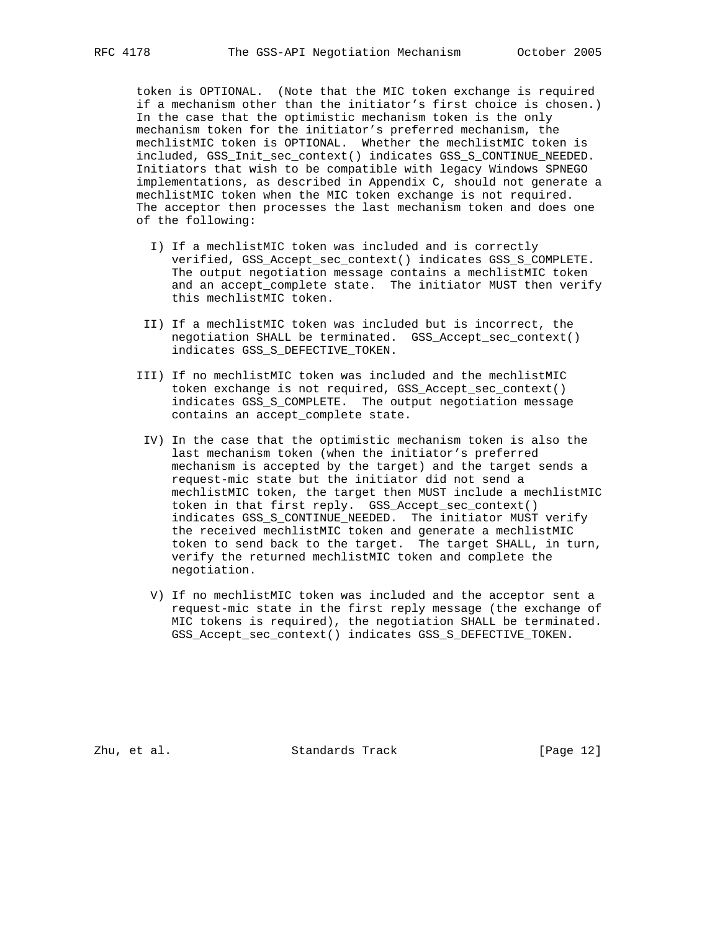token is OPTIONAL. (Note that the MIC token exchange is required if a mechanism other than the initiator's first choice is chosen.) In the case that the optimistic mechanism token is the only mechanism token for the initiator's preferred mechanism, the mechlistMIC token is OPTIONAL. Whether the mechlistMIC token is included, GSS\_Init\_sec\_context() indicates GSS\_S\_CONTINUE\_NEEDED. Initiators that wish to be compatible with legacy Windows SPNEGO implementations, as described in Appendix C, should not generate a mechlistMIC token when the MIC token exchange is not required. The acceptor then processes the last mechanism token and does one of the following:

- I) If a mechlistMIC token was included and is correctly verified, GSS\_Accept\_sec\_context() indicates GSS\_S\_COMPLETE. The output negotiation message contains a mechlistMIC token and an accept\_complete state. The initiator MUST then verify this mechlistMIC token.
- II) If a mechlistMIC token was included but is incorrect, the negotiation SHALL be terminated. GSS\_Accept\_sec\_context() indicates GSS\_S\_DEFECTIVE\_TOKEN.
- III) If no mechlistMIC token was included and the mechlistMIC token exchange is not required, GSS\_Accept\_sec\_context() indicates GSS\_S\_COMPLETE. The output negotiation message contains an accept\_complete state.
- IV) In the case that the optimistic mechanism token is also the last mechanism token (when the initiator's preferred mechanism is accepted by the target) and the target sends a request-mic state but the initiator did not send a mechlistMIC token, the target then MUST include a mechlistMIC token in that first reply. GSS\_Accept\_sec\_context() indicates GSS\_S\_CONTINUE\_NEEDED. The initiator MUST verify the received mechlistMIC token and generate a mechlistMIC token to send back to the target. The target SHALL, in turn, verify the returned mechlistMIC token and complete the negotiation.
- V) If no mechlistMIC token was included and the acceptor sent a request-mic state in the first reply message (the exchange of MIC tokens is required), the negotiation SHALL be terminated. GSS\_Accept\_sec\_context() indicates GSS\_S\_DEFECTIVE\_TOKEN.

Zhu, et al. Standards Track [Page 12]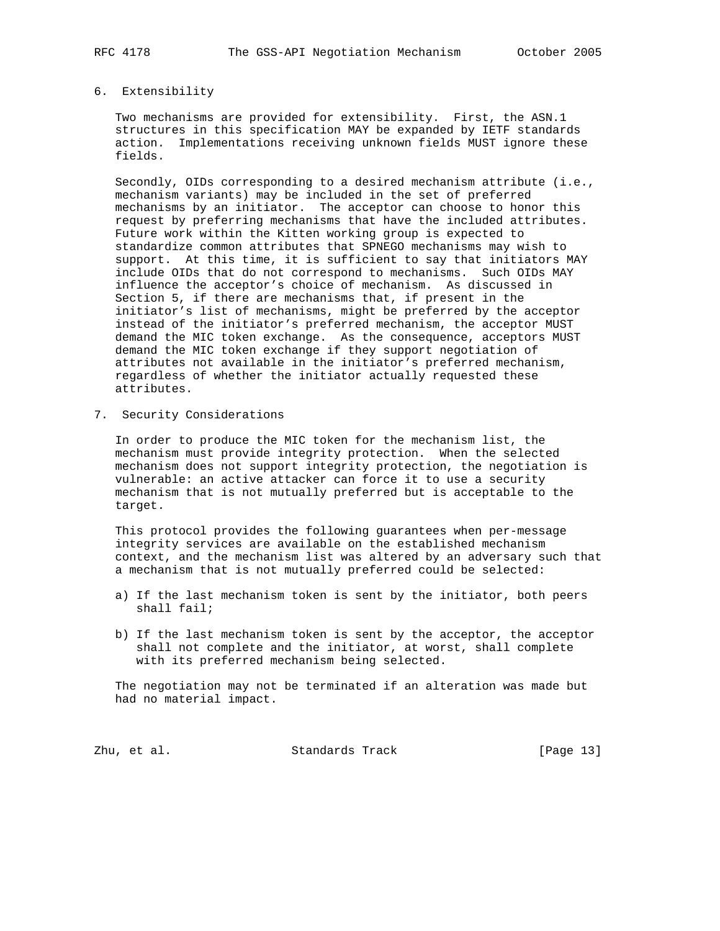## 6. Extensibility

 Two mechanisms are provided for extensibility. First, the ASN.1 structures in this specification MAY be expanded by IETF standards action. Implementations receiving unknown fields MUST ignore these fields.

 Secondly, OIDs corresponding to a desired mechanism attribute (i.e., mechanism variants) may be included in the set of preferred mechanisms by an initiator. The acceptor can choose to honor this request by preferring mechanisms that have the included attributes. Future work within the Kitten working group is expected to standardize common attributes that SPNEGO mechanisms may wish to support. At this time, it is sufficient to say that initiators MAY include OIDs that do not correspond to mechanisms. Such OIDs MAY influence the acceptor's choice of mechanism. As discussed in Section 5, if there are mechanisms that, if present in the initiator's list of mechanisms, might be preferred by the acceptor instead of the initiator's preferred mechanism, the acceptor MUST demand the MIC token exchange. As the consequence, acceptors MUST demand the MIC token exchange if they support negotiation of attributes not available in the initiator's preferred mechanism, regardless of whether the initiator actually requested these attributes.

7. Security Considerations

 In order to produce the MIC token for the mechanism list, the mechanism must provide integrity protection. When the selected mechanism does not support integrity protection, the negotiation is vulnerable: an active attacker can force it to use a security mechanism that is not mutually preferred but is acceptable to the target.

 This protocol provides the following guarantees when per-message integrity services are available on the established mechanism context, and the mechanism list was altered by an adversary such that a mechanism that is not mutually preferred could be selected:

- a) If the last mechanism token is sent by the initiator, both peers shall fail;
- b) If the last mechanism token is sent by the acceptor, the acceptor shall not complete and the initiator, at worst, shall complete with its preferred mechanism being selected.

 The negotiation may not be terminated if an alteration was made but had no material impact.

Zhu, et al. Standards Track [Page 13]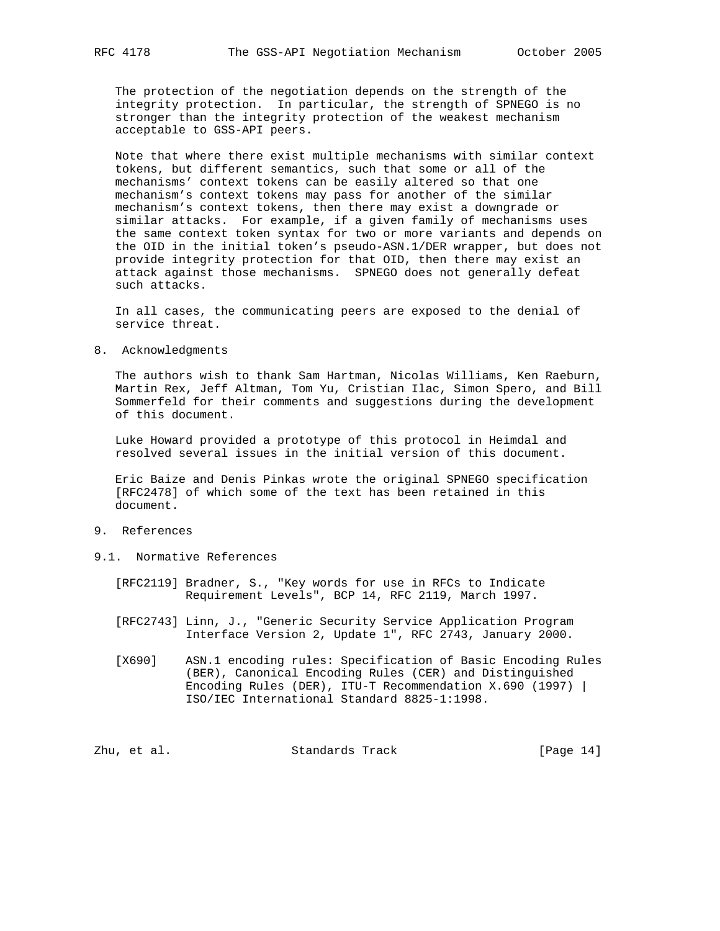The protection of the negotiation depends on the strength of the integrity protection. In particular, the strength of SPNEGO is no stronger than the integrity protection of the weakest mechanism acceptable to GSS-API peers.

 Note that where there exist multiple mechanisms with similar context tokens, but different semantics, such that some or all of the mechanisms' context tokens can be easily altered so that one mechanism's context tokens may pass for another of the similar mechanism's context tokens, then there may exist a downgrade or similar attacks. For example, if a given family of mechanisms uses the same context token syntax for two or more variants and depends on the OID in the initial token's pseudo-ASN.1/DER wrapper, but does not provide integrity protection for that OID, then there may exist an attack against those mechanisms. SPNEGO does not generally defeat such attacks.

 In all cases, the communicating peers are exposed to the denial of service threat.

8. Acknowledgments

 The authors wish to thank Sam Hartman, Nicolas Williams, Ken Raeburn, Martin Rex, Jeff Altman, Tom Yu, Cristian Ilac, Simon Spero, and Bill Sommerfeld for their comments and suggestions during the development of this document.

 Luke Howard provided a prototype of this protocol in Heimdal and resolved several issues in the initial version of this document.

 Eric Baize and Denis Pinkas wrote the original SPNEGO specification [RFC2478] of which some of the text has been retained in this document.

- 9. References
- 9.1. Normative References
	- [RFC2119] Bradner, S., "Key words for use in RFCs to Indicate Requirement Levels", BCP 14, RFC 2119, March 1997.
	- [RFC2743] Linn, J., "Generic Security Service Application Program Interface Version 2, Update 1", RFC 2743, January 2000.
	- [X690] ASN.1 encoding rules: Specification of Basic Encoding Rules (BER), Canonical Encoding Rules (CER) and Distinguished Encoding Rules (DER), ITU-T Recommendation X.690 (1997) | ISO/IEC International Standard 8825-1:1998.

Zhu, et al. Standards Track [Page 14]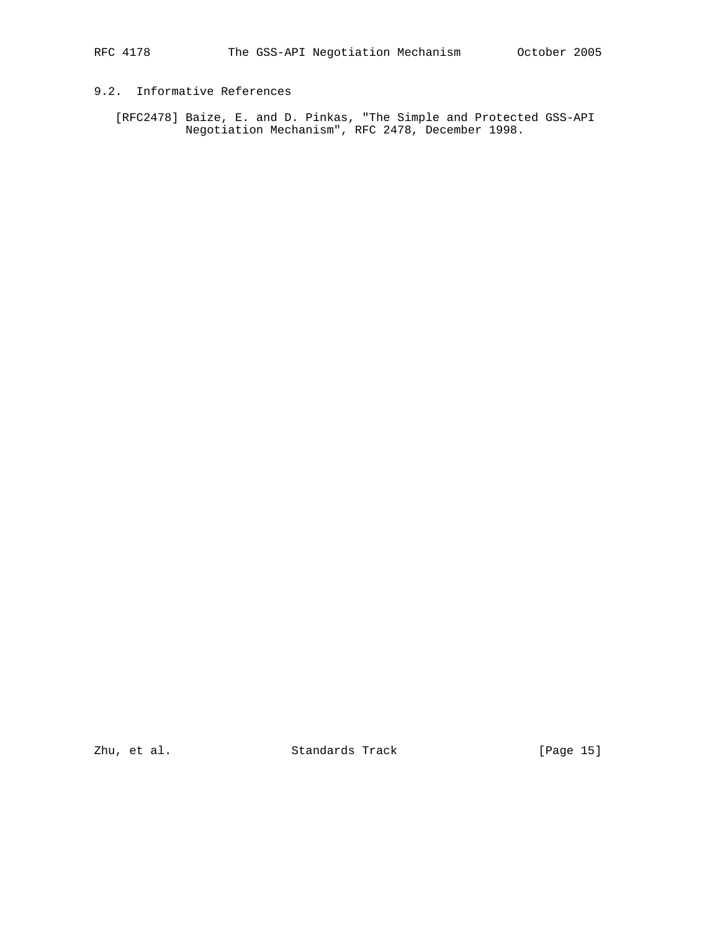# 9.2. Informative References

 [RFC2478] Baize, E. and D. Pinkas, "The Simple and Protected GSS-API Negotiation Mechanism", RFC 2478, December 1998.

zhu, et al. Standards Track [Page 15]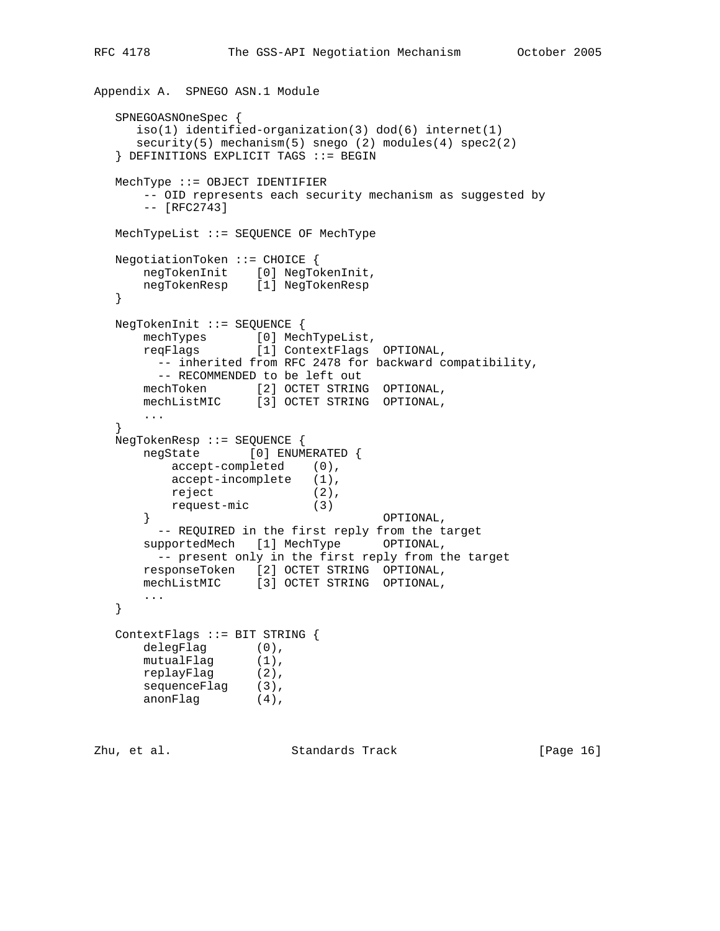```
Appendix A. SPNEGO ASN.1 Module
   SPNEGOASNOneSpec {
      iso(1) identified-organization(3) dod(6) internet(1)
      security(5) mechanism(5) snego (2) modules(4) spec2(2)
   } DEFINITIONS EXPLICIT TAGS ::= BEGIN
   MechType ::= OBJECT IDENTIFIER
       -- OID represents each security mechanism as suggested by
       -- [RFC2743]
   MechTypeList ::= SEQUENCE OF MechType
   NegotiationToken ::= CHOICE {
 negTokenInit [0] NegTokenInit,
 negTokenResp [1] NegTokenResp
   }
   NegTokenInit ::= SEQUENCE {
      mechTypes [0] MechTypeList,
      reqFlags [1] ContextFlags OPTIONAL,
        -- inherited from RFC 2478 for backward compatibility,
        -- RECOMMENDED to be left out
 mechToken [2] OCTET STRING OPTIONAL,
 mechListMIC [3] OCTET STRING OPTIONAL,
       ...
   }
   NegTokenResp ::= SEQUENCE {
      negState [0] ENUMERATED {
         accept-completed (0),
         accept-incomplete (1),
reject (2),
 request-mic (3)
       } OPTIONAL,
        -- REQUIRED in the first reply from the target
      supportedMech [1] MechType OPTIONAL,
       -- present only in the first reply from the target
 responseToken [2] OCTET STRING OPTIONAL,
 mechListMIC [3] OCTET STRING OPTIONAL,
      ...
   }
   ContextFlags ::= BIT STRING {
      delegFlag (0),
mutualFlag (1),
 replayFlag (2),
sequenceFlag (3),
 anonFlag (4),
```
Zhu, et al. Standards Track [Page 16]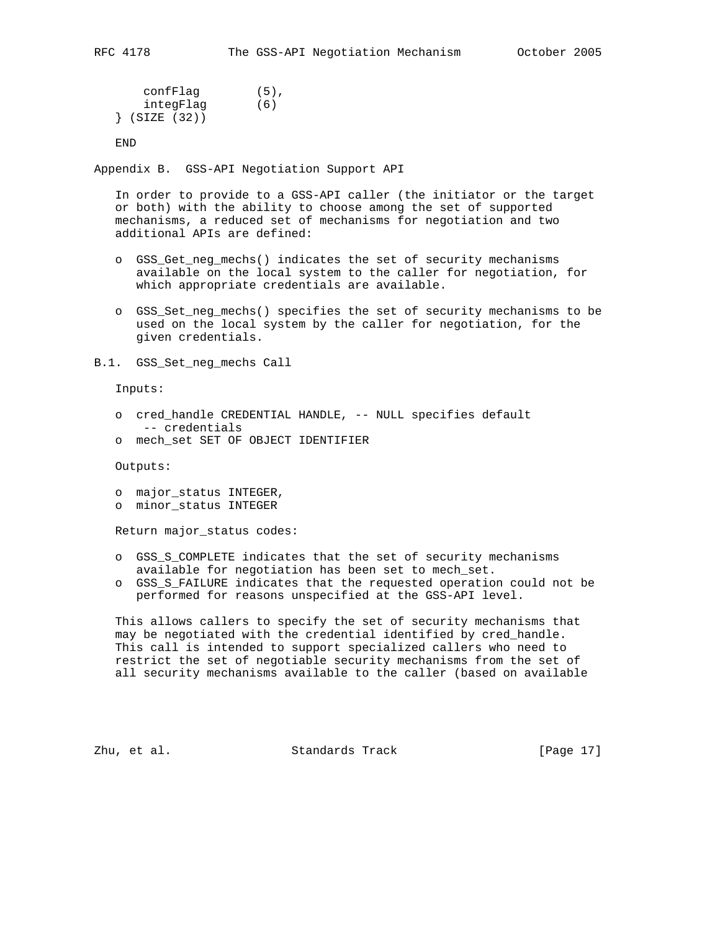confFlag (5), integFlag (6) } (SIZE (32))

END

Appendix B. GSS-API Negotiation Support API

 In order to provide to a GSS-API caller (the initiator or the target or both) with the ability to choose among the set of supported mechanisms, a reduced set of mechanisms for negotiation and two additional APIs are defined:

- o GSS\_Get\_neg\_mechs() indicates the set of security mechanisms available on the local system to the caller for negotiation, for which appropriate credentials are available.
- o GSS\_Set\_neg\_mechs() specifies the set of security mechanisms to be used on the local system by the caller for negotiation, for the given credentials.

B.1. GSS\_Set\_neg\_mechs Call

Inputs:

- o cred\_handle CREDENTIAL HANDLE, -- NULL specifies default -- credentials
- o mech\_set SET OF OBJECT IDENTIFIER

Outputs:

- o major\_status INTEGER,
- o minor\_status INTEGER

Return major\_status codes:

- o GSS\_S\_COMPLETE indicates that the set of security mechanisms available for negotiation has been set to mech\_set.
- o GSS\_S\_FAILURE indicates that the requested operation could not be performed for reasons unspecified at the GSS-API level.

 This allows callers to specify the set of security mechanisms that may be negotiated with the credential identified by cred\_handle. This call is intended to support specialized callers who need to restrict the set of negotiable security mechanisms from the set of all security mechanisms available to the caller (based on available

Zhu, et al. Standards Track [Page 17]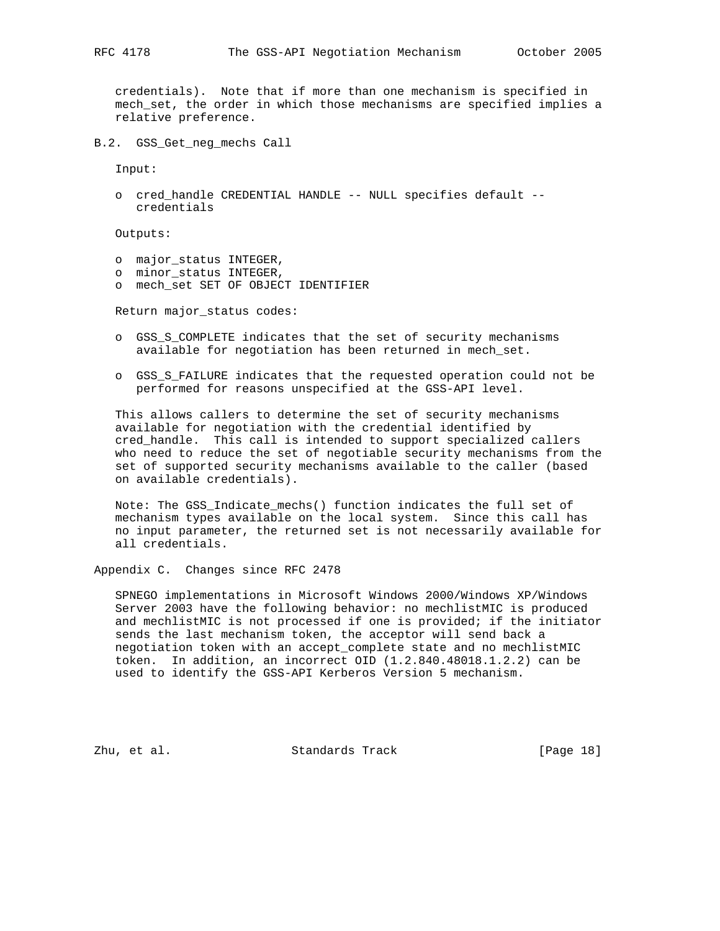credentials). Note that if more than one mechanism is specified in mech\_set, the order in which those mechanisms are specified implies a relative preference.

B.2. GSS\_Get\_neg\_mechs Call

Input:

 o cred\_handle CREDENTIAL HANDLE -- NULL specifies default - credentials

Outputs:

- o major\_status INTEGER,
- o minor\_status INTEGER,
- o mech\_set SET OF OBJECT IDENTIFIER

Return major\_status codes:

- o GSS\_S\_COMPLETE indicates that the set of security mechanisms available for negotiation has been returned in mech\_set.
- o GSS\_S\_FAILURE indicates that the requested operation could not be performed for reasons unspecified at the GSS-API level.

 This allows callers to determine the set of security mechanisms available for negotiation with the credential identified by cred\_handle. This call is intended to support specialized callers who need to reduce the set of negotiable security mechanisms from the set of supported security mechanisms available to the caller (based on available credentials).

 Note: The GSS\_Indicate\_mechs() function indicates the full set of mechanism types available on the local system. Since this call has no input parameter, the returned set is not necessarily available for all credentials.

Appendix C. Changes since RFC 2478

 SPNEGO implementations in Microsoft Windows 2000/Windows XP/Windows Server 2003 have the following behavior: no mechlistMIC is produced and mechlistMIC is not processed if one is provided; if the initiator sends the last mechanism token, the acceptor will send back a negotiation token with an accept\_complete state and no mechlistMIC token. In addition, an incorrect OID (1.2.840.48018.1.2.2) can be used to identify the GSS-API Kerberos Version 5 mechanism.

Zhu, et al. Standards Track [Page 18]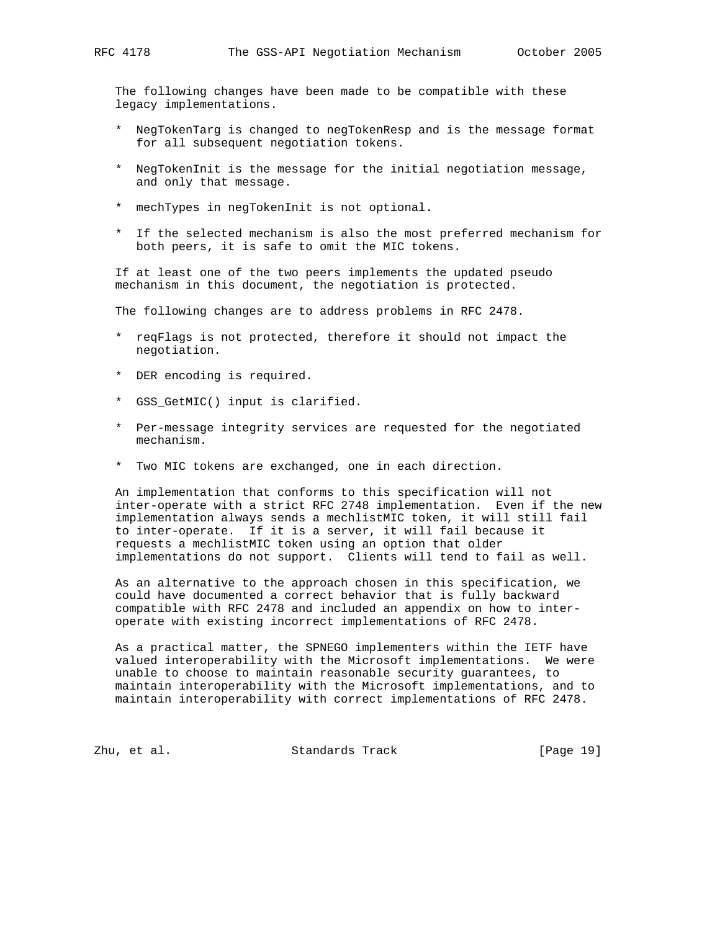The following changes have been made to be compatible with these legacy implementations.

- \* NegTokenTarg is changed to negTokenResp and is the message format for all subsequent negotiation tokens.
- \* NegTokenInit is the message for the initial negotiation message, and only that message.
- \* mechTypes in negTokenInit is not optional.
- \* If the selected mechanism is also the most preferred mechanism for both peers, it is safe to omit the MIC tokens.

 If at least one of the two peers implements the updated pseudo mechanism in this document, the negotiation is protected.

The following changes are to address problems in RFC 2478.

- \* reqFlags is not protected, therefore it should not impact the negotiation.
- \* DER encoding is required.
- \* GSS\_GetMIC() input is clarified.
- \* Per-message integrity services are requested for the negotiated mechanism.
- \* Two MIC tokens are exchanged, one in each direction.

 An implementation that conforms to this specification will not inter-operate with a strict RFC 2748 implementation. Even if the new implementation always sends a mechlistMIC token, it will still fail to inter-operate. If it is a server, it will fail because it requests a mechlistMIC token using an option that older implementations do not support. Clients will tend to fail as well.

 As an alternative to the approach chosen in this specification, we could have documented a correct behavior that is fully backward compatible with RFC 2478 and included an appendix on how to inter operate with existing incorrect implementations of RFC 2478.

 As a practical matter, the SPNEGO implementers within the IETF have valued interoperability with the Microsoft implementations. We were unable to choose to maintain reasonable security guarantees, to maintain interoperability with the Microsoft implementations, and to maintain interoperability with correct implementations of RFC 2478.

Zhu, et al. Standards Track [Page 19]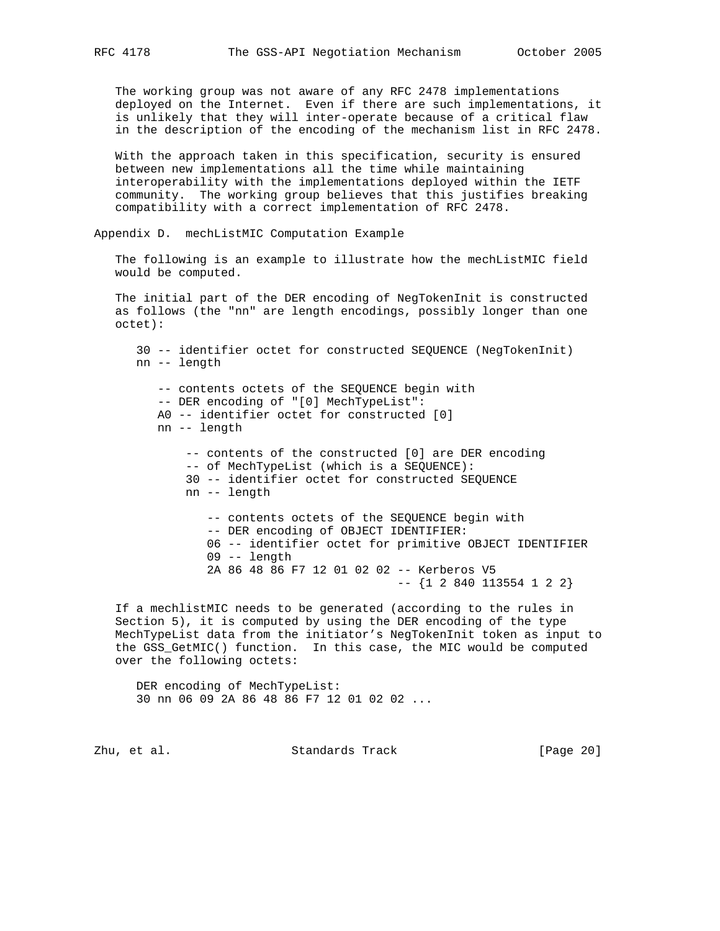The working group was not aware of any RFC 2478 implementations deployed on the Internet. Even if there are such implementations, it is unlikely that they will inter-operate because of a critical flaw in the description of the encoding of the mechanism list in RFC 2478.

 With the approach taken in this specification, security is ensured between new implementations all the time while maintaining interoperability with the implementations deployed within the IETF community. The working group believes that this justifies breaking compatibility with a correct implementation of RFC 2478.

Appendix D. mechListMIC Computation Example

The following is an example to illustrate how the mechListMIC field would be computed.

 The initial part of the DER encoding of NegTokenInit is constructed as follows (the "nn" are length encodings, possibly longer than one octet):

 30 -- identifier octet for constructed SEQUENCE (NegTokenInit) nn -- length -- contents octets of the SEQUENCE begin with -- DER encoding of "[0] MechTypeList": A0 -- identifier octet for constructed [0] nn -- length -- contents of the constructed [0] are DER encoding -- of MechTypeList (which is a SEQUENCE): 30 -- identifier octet for constructed SEQUENCE nn -- length -- contents octets of the SEQUENCE begin with -- DER encoding of OBJECT IDENTIFIER: 06 -- identifier octet for primitive OBJECT IDENTIFIER 09 -- length 2A 86 48 86 F7 12 01 02 02 -- Kerberos V5 -- {1 2 840 113554 1 2 2}

 If a mechlistMIC needs to be generated (according to the rules in Section 5), it is computed by using the DER encoding of the type MechTypeList data from the initiator's NegTokenInit token as input to the GSS\_GetMIC() function. In this case, the MIC would be computed over the following octets:

 DER encoding of MechTypeList: 30 nn 06 09 2A 86 48 86 F7 12 01 02 02 ...

Zhu, et al. Standards Track [Page 20]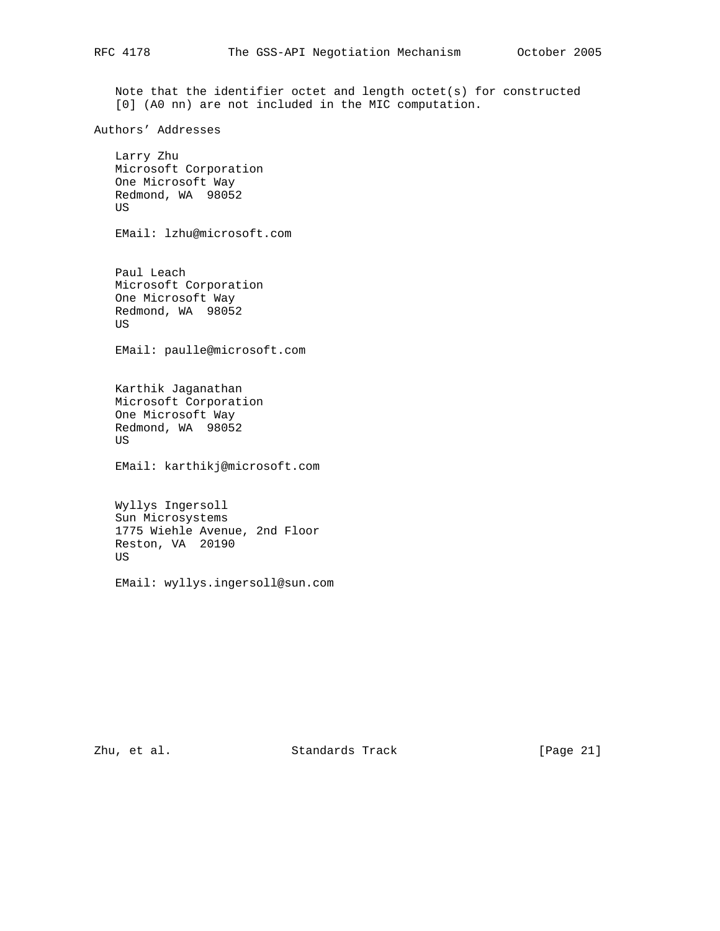Note that the identifier octet and length octet(s) for constructed [0] (A0 nn) are not included in the MIC computation.

Authors' Addresses

 Larry Zhu Microsoft Corporation One Microsoft Way Redmond, WA 98052 US

EMail: lzhu@microsoft.com

 Paul Leach Microsoft Corporation One Microsoft Way Redmond, WA 98052 US

EMail: paulle@microsoft.com

 Karthik Jaganathan Microsoft Corporation One Microsoft Way Redmond, WA 98052 US

EMail: karthikj@microsoft.com

 Wyllys Ingersoll Sun Microsystems 1775 Wiehle Avenue, 2nd Floor Reston, VA 20190 US

EMail: wyllys.ingersoll@sun.com

Zhu, et al. Standards Track [Page 21]